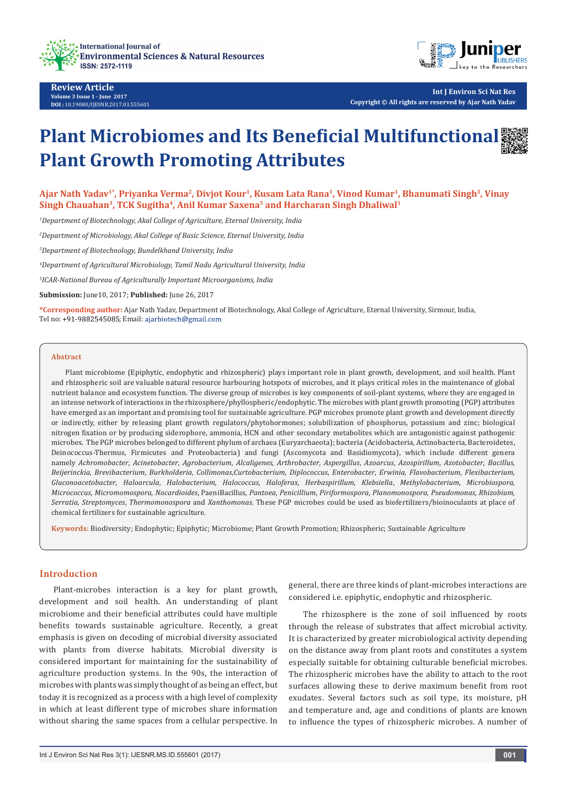

**Review Article Volume 3 Issue 1 - June 2017 DOI :** [10.19080/IJESNR.2017.03.555601](http://dx.doi.org/10.19080/IJESNR.2017.03.555601
)



**Int J Environ Sci Nat Res Copyright © All rights are reserved by Ajar Nath Yadav**

# **Plant Microbiomes and Its Beneficial Multifunctional Plant Growth Promoting Attributes**

**Ajar Nath Yadav1\*, Priyanka Verma2, Divjot Kour1, Kusam Lata Rana1, Vinod Kumar1, Bhanumati Singh3, Vinay Singh Chauahan3, TCK Sugitha4, Anil Kumar Saxena5 and Harcharan Singh Dhaliwal1**

*1 Department of Biotechnology, Akal College of Agriculture, Eternal University, India*

*2 Department of Microbiology, Akal College of Basic Science, Eternal University, India*

*3 Department of Biotechnology, Bundelkhand University, India*

*4 Department of Agricultural Microbiology, Tamil Nadu Agricultural University, India*

*5 ICAR-National Bureau of Agriculturally Important Microorganisms, India*

**Submission:** June10, 2017; **Published:** June 26, 2017

**\*Corresponding author:** Ajar Nath Yadav, Department of Biotechnology, Akal College of Agriculture, Eternal University, Sirmour, India, Tel no: +91-9882545085; Email: ajarbiotech@gmail.com

#### **Abstract**

Plant microbiome (Epiphytic, endophytic and rhizospheric) plays important role in plant growth, development, and soil health. Plant and rhizospheric soil are valuable natural resource harbouring hotspots of microbes, and it plays critical roles in the maintenance of global nutrient balance and ecosystem function. The diverse group of microbes is key components of soil-plant systems, where they are engaged in an intense network of interactions in the rhizosphere/phyllospheric/endophytic. The microbes with plant growth promoting (PGP) attributes have emerged as an important and promising tool for sustainable agriculture. PGP microbes promote plant growth and development directly or indirectly, either by releasing plant growth regulators/phytohormones; solubilization of phosphorus, potassium and zinc; biological nitrogen fixation or by producing siderophore, ammonia, HCN and other secondary metabolites which are antagonistic against pathogenic microbes. The PGP microbes belonged to different phylum of archaea (Euryarchaeota); bacteria (Acidobacteria, Actinobacteria, Bacteroidetes, Deinococcus-Thermus, Firmicutes and Proteobacteria) and fungi (Ascomycota and Basidiomycota), which include different genera namely *Achromobacter*, *Acinetobacter*, *Agrobacterium*, *Alcaligenes*, *Arthrobacter*, *Aspergillus*, *Azoarcus*, *Azospirillum*, *Azotobacter*, *Bacillus*, *Beijerinckia*, *Brevibacterium*, *Burkholderia*, *Collimonas*,*Curtobacterium*, *Diplococcus*, *Enterobacter*, *Erwinia*, *Flavobacterium*, *Flexibacterium*, *Gluconoacetobacter*, *Haloarcula*, *Halobacterium*, *Halococcus*, *Haloferax*, *Herbaspirillum*, *Klebsiella*, *Methylobacterium*, *Microbiospora*, *Micrococcus*, *Micromomospora*, *Nocardioides*, PaeniBacillus, *Pantoea*, *Penicillium*, *Piriformospora*, *Planomonospora*, *Pseudomonas*, *Rhizobium*, *Serratia*, *Streptomyces*, *Thermomonospora* and *Xanthomonas*. These PGP microbes could be used as biofertilizers/bioinoculants at place of chemical fertilizers for sustainable agriculture.

**Keywords:** Biodiversity; Endophytic; Epiphytic; Microbiome; Plant Growth Promotion; Rhizospheric; Sustainable Agriculture

#### **Introduction**

Plant-microbes interaction is a key for plant growth, development and soil health. An understanding of plant microbiome and their beneficial attributes could have multiple benefits towards sustainable agriculture. Recently, a great emphasis is given on decoding of microbial diversity associated with plants from diverse habitats. Microbial diversity is considered important for maintaining for the sustainability of agriculture production systems. In the 90s, the interaction of microbes with plants was simply thought of as being an effect, but today it is recognized as a process with a high level of complexity in which at least different type of microbes share information without sharing the same spaces from a cellular perspective. In

general, there are three kinds of plant-microbes interactions are considered i.e. epiphytic, endophytic and rhizospheric.

The rhizosphere is the zone of soil influenced by roots through the release of substrates that affect microbial activity. It is characterized by greater microbiological activity depending on the distance away from plant roots and constitutes a system especially suitable for obtaining culturable beneficial microbes. The rhizospheric microbes have the ability to attach to the root surfaces allowing these to derive maximum benefit from root exudates. Several factors such as soil type, its moisture, pH and temperature and, age and conditions of plants are known to influence the types of rhizospheric microbes. A number of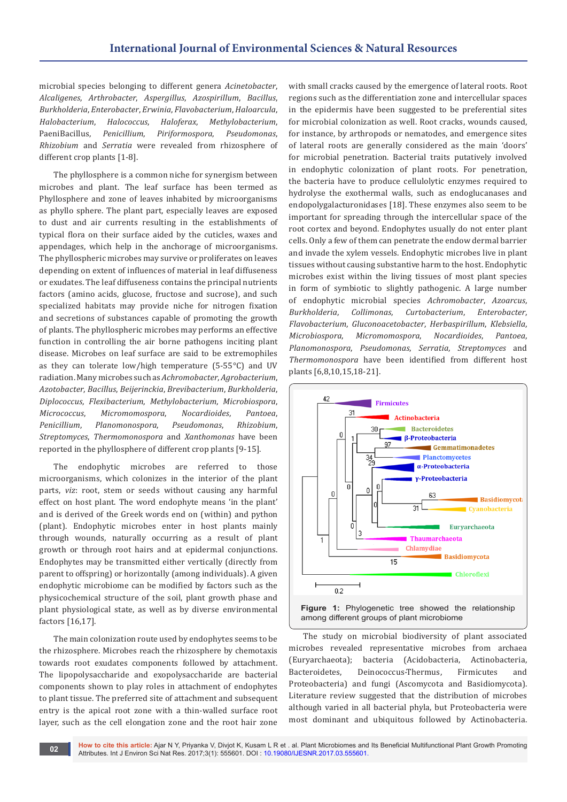microbial species belonging to different genera *Acinetobacter*, *Alcaligenes*, *Arthrobacter*, *Aspergillus*, *Azospirillum*, *Bacillus*, *Burkholderia*, *Enterobacter*, *Erwinia*, *Flavobacterium*, *Haloarcula*, *Halobacterium*, *Halococcus*, *Haloferax*, *Methylobacterium*, PaeniBacillus, *Penicillium*, *Piriformospora*, *Pseudomonas*, *Rhizobium* and *Serratia* were revealed from rhizosphere of different crop plants [1-8].

The phyllosphere is a common niche for synergism between microbes and plant. The leaf surface has been termed as Phyllosphere and zone of leaves inhabited by microorganisms as phyllo sphere. The plant part, especially leaves are exposed to dust and air currents resulting in the establishments of typical flora on their surface aided by the cuticles, waxes and appendages, which help in the anchorage of microorganisms. The phyllospheric microbes may survive or proliferates on leaves depending on extent of influences of material in leaf diffuseness or exudates. The leaf diffuseness contains the principal nutrients factors (amino acids, glucose, fructose and sucrose), and such specialized habitats may provide niche for nitrogen fixation and secretions of substances capable of promoting the growth of plants. The phyllospheric microbes may performs an effective function in controlling the air borne pathogens inciting plant disease. Microbes on leaf surface are said to be extremophiles as they can tolerate low/high temperature (5-55°C) and UV radiation. Many microbes such as *Achromobacter*, *Agrobacterium*, *Azotobacter*, *Bacillus*, *Beijerinckia*, *Brevibacterium*, *Burkholderia*, *Diplococcus*, *Flexibacterium*, *Methylobacterium*, *Microbiospora*, *Micrococcus*, *Micromomospora*, *Nocardioides*, *Pantoea*, *Penicillium*, *Planomonospora*, *Pseudomonas*, *Rhizobium*, *Streptomyces*, *Thermomonospora* and *Xanthomonas* have been reported in the phyllosphere of different crop plants [9-15].

The endophytic microbes are referred to those microorganisms, which colonizes in the interior of the plant parts, *viz*: root, stem or seeds without causing any harmful effect on host plant. The word endophyte means 'in the plant' and is derived of the Greek words end on (within) and python (plant). Endophytic microbes enter in host plants mainly through wounds, naturally occurring as a result of plant growth or through root hairs and at epidermal conjunctions. Endophytes may be transmitted either vertically (directly from parent to offspring) or horizontally (among individuals). A given endophytic microbiome can be modified by factors such as the physicochemical structure of the soil, plant growth phase and plant physiological state, as well as by diverse environmental factors [16,17].

The main colonization route used by endophytes seems to be the rhizosphere. Microbes reach the rhizosphere by chemotaxis towards root exudates components followed by attachment. The lipopolysaccharide and exopolysaccharide are bacterial components shown to play roles in attachment of endophytes to plant tissue. The preferred site of attachment and subsequent entry is the apical root zone with a thin-walled surface root layer, such as the cell elongation zone and the root hair zone

with small cracks caused by the emergence of lateral roots. Root regions such as the differentiation zone and intercellular spaces in the epidermis have been suggested to be preferential sites for microbial colonization as well. Root cracks, wounds caused, for instance, by arthropods or nematodes, and emergence sites of lateral roots are generally considered as the main 'doors' for microbial penetration. Bacterial traits putatively involved in endophytic colonization of plant roots. For penetration, the bacteria have to produce cellulolytic enzymes required to hydrolyse the exothermal walls, such as endoglucanases and endopolygalacturonidases [18]. These enzymes also seem to be important for spreading through the intercellular space of the root cortex and beyond. Endophytes usually do not enter plant cells. Only a few of them can penetrate the endow dermal barrier and invade the xylem vessels. Endophytic microbes live in plant tissues without causing substantive harm to the host. Endophytic microbes exist within the living tissues of most plant species in form of symbiotic to slightly pathogenic. A large number of endophytic microbial species *Achromobacter*, *Azoarcus*, *Burkholderia*, *Collimonas*, *Curtobacterium*, *Enterobacter*, *Flavobacterium*, *Gluconoacetobacter*, *Herbaspirillum*, *Klebsiella*, *Microbiospora*, *Micromomospora*, *Nocardioides*, *Pantoea*, *Planomonospora*, *Pseudomonas*, *Serratia*, *Streptomyces* and *Thermomonospora* have been identified from different host plants [6,8,10,15,18-21].



The study on microbial biodiversity of plant associated microbes revealed representative microbes from archaea (Euryarchaeota); bacteria (Acidobacteria, Actinobacteria, Bacteroidetes, Deinococcus-Thermus, Firmicutes and Proteobacteria) and fungi (Ascomycota and Basidiomycota). Literature review suggested that the distribution of microbes although varied in all bacterial phyla, but Proteobacteria were most dominant and ubiquitous followed by Actinobacteria.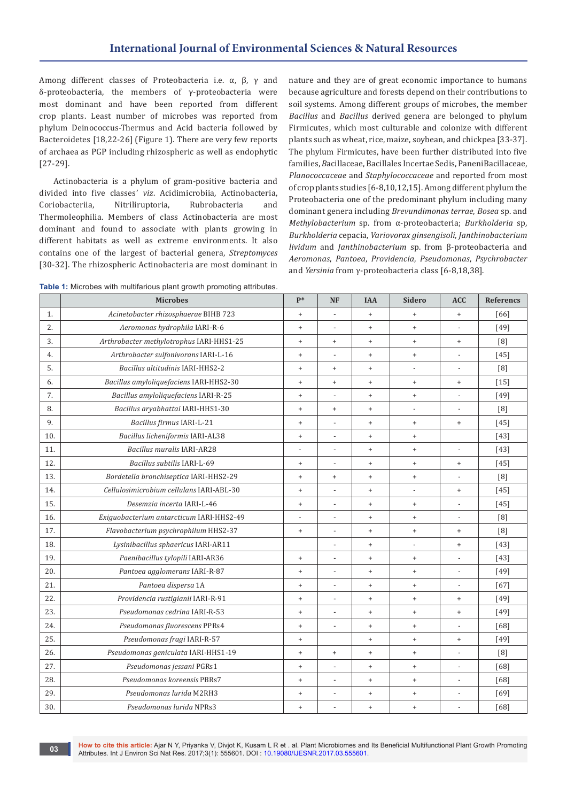Among different classes of Proteobacteria i.e. α, β, γ and δ-proteobacteria, the members of γ-proteobacteria were most dominant and have been reported from different crop plants. Least number of microbes was reported from phylum Deinococcus-Thermus and Acid bacteria followed by Bacteroidetes [18,22-26] (Figure 1). There are very few reports of archaea as PGP including rhizospheric as well as endophytic [27-29].

Actinobacteria is a phylum of gram-positive bacteria and divided into five classes' *viz*. Acidimicrobiia, Actinobacteria, Coriobacteriia, Nitriliruptoria, Rubrobacteria and Thermoleophilia. Members of class Actinobacteria are most dominant and found to associate with plants growing in different habitats as well as extreme environments. It also contains one of the largest of bacterial genera, *Streptomyces* [30-32]. The rhizospheric Actinobacteria are most dominant in nature and they are of great economic importance to humans because agriculture and forests depend on their contributions to soil systems. Among different groups of microbes, the member *Bacillus* and *Bacillus* derived genera are belonged to phylum Firmicutes, which most culturable and colonize with different plants such as wheat, rice, maize, soybean, and chickpea [33-37]. The phylum Firmicutes, have been further distributed into five families, *B*acillaceae, Bacillales Incertae Sedis, PaneniBacillaceae, *Planococcaceae* and *Staphylococcaceae* and reported from most of crop plants studies [6-8,10,12,15]. Among different phylum the Proteobacteria one of the predominant phylum including many dominant genera including *Brevundimonas terrae*, *Bosea* sp. and *Methylobacterium* sp. from α-proteobacteria; *Burkholderia* sp, *Burkholderia* cepacia, *Variovorax ginsengisoli*, *Janthinobacterium lividum* and *Janthinobacterium* sp. from β-proteobacteria and *Aeromonas*, *Pantoea*, *Providencia*, *Pseudomonas*, *Psychrobacter* and *Yersinia* from γ-proteobacteria class [6-8,18,38].

| Table 1: Microbes with multifarious plant growth promoting attributes. |  |  |  |  |
|------------------------------------------------------------------------|--|--|--|--|
|------------------------------------------------------------------------|--|--|--|--|

|     | <b>Microbes</b>                          | $P*$              | <b>NF</b>                                                                                                                                                                                                                                                                                                   | <b>IAA</b>                       | <b>Sidero</b>                    | <b>ACC</b>                       | <b>Referencs</b> |
|-----|------------------------------------------|-------------------|-------------------------------------------------------------------------------------------------------------------------------------------------------------------------------------------------------------------------------------------------------------------------------------------------------------|----------------------------------|----------------------------------|----------------------------------|------------------|
| 1.  | Acinetobacter rhizosphaerae BIHB 723     | $\ddot{}$         | $\overline{a}$                                                                                                                                                                                                                                                                                              | $\ddot{}$                        | $\ddot{}$                        | $+$                              | [66]             |
| 2.  | Aeromonas hydrophila IARI-R-6            | $^{+}$            |                                                                                                                                                                                                                                                                                                             | $\begin{array}{c} + \end{array}$ | $\ddot{}$                        |                                  | [49]             |
| 3.  | Arthrobacter methylotrophus IARI-HHS1-25 | $^{+}$            | $\ddot{}$                                                                                                                                                                                                                                                                                                   | $\ddot{}$                        | $+$                              | $\ddot{}$                        | [8]              |
| 4.  | Arthrobacter sulfonivorans IARI-L-16     | $\qquad \qquad +$ | $\overline{a}$                                                                                                                                                                                                                                                                                              | $\ddot{}$                        | $+$                              | $\overline{a}$                   | $[45]$           |
| 5.  | Bacillus altitudinis IARI-HHS2-2         | $\ddot{}$         | $\qquad \qquad +$                                                                                                                                                                                                                                                                                           | $\ddot{}$                        | $\overline{\phantom{a}}$         | $\overline{\phantom{a}}$         | [8]              |
| 6.  | Bacillus amyloliquefaciens IARI-HHS2-30  | $\qquad \qquad +$ | $\ddot{}$                                                                                                                                                                                                                                                                                                   | $\ddot{}$                        | $\ddot{}$                        | $\begin{array}{c} + \end{array}$ | $[15]$           |
| 7.  | Bacillus amyloliquefaciens IARI-R-25     | $^{+}$            | $\overline{a}$                                                                                                                                                                                                                                                                                              | $\begin{array}{c} + \end{array}$ | $\ddot{}$                        | $\overline{a}$                   | $[49]$           |
| 8.  | Bacillus aryabhattai IARI-HHS1-30        | $+$               | $+$                                                                                                                                                                                                                                                                                                         | $\ddot{}$                        | $\overline{\phantom{a}}$         | $\overline{\phantom{a}}$         | [8]              |
| 9.  | Bacillus firmus IARI-L-21                | $\ddot{}$         | $\overline{a}$                                                                                                                                                                                                                                                                                              | $\ddot{}$                        | $\ddot{}$                        | $\ddot{}$                        | $[45]$           |
| 10. | Bacillus licheniformis IARI-AL38         | $\ddot{}$         | $\overline{a}$                                                                                                                                                                                                                                                                                              | $\begin{array}{c} + \end{array}$ | $\qquad \qquad +$                |                                  | $[43]$           |
| 11. | <b>Bacillus muralis IARI-AR28</b>        | $\overline{a}$    | $\overline{a}$                                                                                                                                                                                                                                                                                              | $\ddot{}$                        | $+$                              | $\overline{a}$                   | $[43]$           |
| 12. | Bacillus subtilis IARI-L-69              | $\ddot{}$         | $\overline{a}$                                                                                                                                                                                                                                                                                              | $\ddot{}$                        | $+$                              | $\begin{array}{c} + \end{array}$ | $[45]$           |
| 13. | Bordetella bronchiseptica IARI-HHS2-29   | $^{+}$            | $\ddot{}$                                                                                                                                                                                                                                                                                                   | $\begin{array}{c} + \end{array}$ | $\qquad \qquad +$                | $\overline{\phantom{a}}$         | $[8]$            |
| 14. | Cellulosimicrobium cellulans IARI-ABL-30 | $\qquad \qquad +$ | $\overline{a}$                                                                                                                                                                                                                                                                                              | $\ddot{}$                        | $\overline{\phantom{a}}$         | $\ddot{}$                        | $[45]$           |
| 15. | Desemzia incerta IARI-L-46               | $\qquad \qquad +$ | $\overline{a}$                                                                                                                                                                                                                                                                                              | $\begin{array}{c} + \end{array}$ | $\qquad \qquad +$                | $\overline{\phantom{0}}$         | $[45]$           |
| 16. | Exiguobacterium antarcticum IARI-HHS2-49 | ÷,                | $\overline{a}$                                                                                                                                                                                                                                                                                              | $\begin{array}{c} + \end{array}$ | $\qquad \qquad +$                | $\overline{a}$                   | [8]              |
| 17. | Flavobacterium psychrophilum HHS2-37     | $\ddot{}$         | Ĭ.                                                                                                                                                                                                                                                                                                          | $\ddot{}$                        | $+$                              | $\begin{array}{c} + \end{array}$ | [8]              |
| 18. | Lysinibacillus sphaericus IARI-AR11      |                   | $\overline{a}$                                                                                                                                                                                                                                                                                              | $\ddot{}$                        | ÷,                               | $^{\mathrm{+}}$                  | $[43]$           |
| 19. | Paenibacillus tylopili IARI-AR36         | $^{+}$            | $\frac{1}{2}$                                                                                                                                                                                                                                                                                               | $\ddot{}$                        | $\begin{array}{c} + \end{array}$ | $\overline{\phantom{a}}$         | $[43]$           |
| 20. | Pantoea agglomerans IARI-R-87            | $\qquad \qquad +$ | $\overline{a}$                                                                                                                                                                                                                                                                                              | $\qquad \qquad +$                | $\ddot{}$                        | $\overline{a}$                   | [49]             |
| 21. | Pantoea dispersa 1A                      | $\qquad \qquad +$ | $\overline{a}$                                                                                                                                                                                                                                                                                              | $\begin{array}{c} + \end{array}$ | $\qquad \qquad +$                | $\overline{a}$                   | $[67]$           |
| 22. | Providencia rustigianii IARI-R-91        | $+$               | $\overline{a}$                                                                                                                                                                                                                                                                                              | $\ddot{}$                        | $+$                              | $\ddot{}$                        | [49]             |
| 23. | Pseudomonas cedrina IARI-R-53            | $\qquad \qquad +$ | $\overline{a}$                                                                                                                                                                                                                                                                                              | $\qquad \qquad +$                | $\qquad \qquad +$                | $\qquad \qquad +$                | [49]             |
| 24. | Pseudomonas fluorescens PPRs4            | $^{+}$            | $\frac{1}{2}$                                                                                                                                                                                                                                                                                               | $\ddot{}$                        | $\qquad \qquad +$                | $\overline{\phantom{a}}$         | [68]             |
| 25. | Pseudomonas fragi IARI-R-57              | $\qquad \qquad +$ |                                                                                                                                                                                                                                                                                                             | $\ddot{}$                        | $+$                              | $\begin{array}{c} + \end{array}$ | [49]             |
| 26. | Pseudomonas geniculata IARI-HHS1-19      | $+$               | $+$                                                                                                                                                                                                                                                                                                         | $\ddot{}$                        | $\qquad \qquad +$                | $\overline{\phantom{a}}$         | $[8]$            |
| 27. | Pseudomonas jessani PGRs1                | $\qquad \qquad +$ | $\overline{a}$                                                                                                                                                                                                                                                                                              | $\begin{array}{c} + \end{array}$ | $\qquad \qquad +$                | $\overline{\phantom{a}}$         | [68]             |
| 28. | Pseudomonas koreensis PBRs7              | $\qquad \qquad +$ | $\centering \centering \includegraphics[width=0.47\textwidth]{figs/fig_1002-100}}% \caption{The 3D (black) and the 4D (black) are the same as a function of the left and the 4D (black) are the same as a function of the right. The left and right is the same as a function of the right.} \label{fig:1}$ | $\begin{array}{c} + \end{array}$ | $\qquad \qquad +$                | $\overline{\phantom{a}}$         | [68]             |
| 29. | Pseudomonas lurida M2RH3                 | $\qquad \qquad +$ | L,                                                                                                                                                                                                                                                                                                          | $\begin{array}{c} + \end{array}$ | $\qquad \qquad +$                | $\overline{a}$                   | [69]             |
| 30. | Pseudomonas lurida NPRs3                 | $\ddot{}$         |                                                                                                                                                                                                                                                                                                             | $\ddot{}$                        | $\qquad \qquad +$                |                                  | $[68]$           |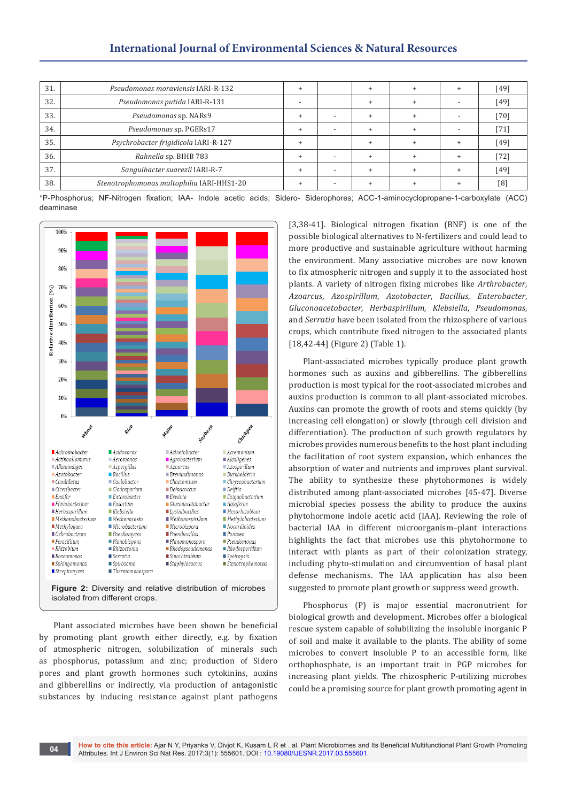| 31. | Pseudomonas moraviensis IARI-R-132        |  |  | [49]   |
|-----|-------------------------------------------|--|--|--------|
| 32. | Pseudomonas putida IARI-R-131             |  |  | [49]   |
| 33. | Pseudomonas sp. NARs9                     |  |  | $[70]$ |
| 34. | Pseudomonas sp. PGERs17                   |  |  | [71]   |
| 35. | Psychrobacter frigidicola IARI-R-127      |  |  | [49]   |
| 36. | Rahnella sp. BIHB 783                     |  |  | $[72]$ |
| 37. | Sanguibacter suarezii IARI-R-7            |  |  | [49]   |
| 38. | Stenotrophomonas maltophilia IARI-HHS1-20 |  |  | [8]    |

\*P-Phosphorus; NF-Nitrogen fixation; IAA- Indole acetic acids; Sidero- Siderophores; ACC-1-aminocyclopropane-1-carboxylate (ACC) deaminase



Plant associated microbes have been shown be beneficial by promoting plant growth either directly, e.g. by fixation of atmospheric nitrogen, solubilization of minerals such as phosphorus, potassium and zinc; production of Sidero pores and plant growth hormones such cytokinins, auxins and gibberellins or indirectly, via production of antagonistic substances by inducing resistance against plant pathogens

[3,38-41]. Biological nitrogen fixation (BNF) is one of the possible biological alternatives to N-fertilizers and could lead to more productive and sustainable agriculture without harming the environment. Many associative microbes are now known to fix atmospheric nitrogen and supply it to the associated host plants. A variety of nitrogen fixing microbes like *Arthrobacter*, *Azoarcus*, *Azospirillum*, *Azotobacter*, *Bacillus*, *Enterobacter*, *Gluconoacetobacter*, *Herbaspirillum*, *Klebsiella*, *Pseudomonas*, and *Serratia* have been isolated from the rhizosphere of various crops, which contribute fixed nitrogen to the associated plants [18,42-44] (Figure 2) (Table 1).

Plant-associated microbes typically produce plant growth hormones such as auxins and gibberellins. The gibberellins production is most typical for the root-associated microbes and auxins production is common to all plant-associated microbes. Auxins can promote the growth of roots and stems quickly (by increasing cell elongation) or slowly (through cell division and differentiation). The production of such growth regulators by microbes provides numerous benefits to the host plant including the facilitation of root system expansion, which enhances the absorption of water and nutrients and improves plant survival. The ability to synthesize these phytohormones is widely distributed among plant-associated microbes [45-47]. Diverse microbial species possess the ability to produce the auxins phytohormone indole acetic acid (IAA). Reviewing the role of bacterial IAA in different microorganism–plant interactions highlights the fact that microbes use this phytohormone to interact with plants as part of their colonization strategy, including phyto-stimulation and circumvention of basal plant defense mechanisms. The IAA application has also been suggested to promote plant growth or suppress weed growth.

Phosphorus (P) is major essential macronutrient for biological growth and development. Microbes offer a biological rescue system capable of solubilizing the insoluble inorganic P of soil and make it available to the plants. The ability of some microbes to convert insoluble P to an accessible form, like orthophosphate, is an important trait in PGP microbes for increasing plant yields. The rhizospheric P-utilizing microbes could be a promising source for plant growth promoting agent in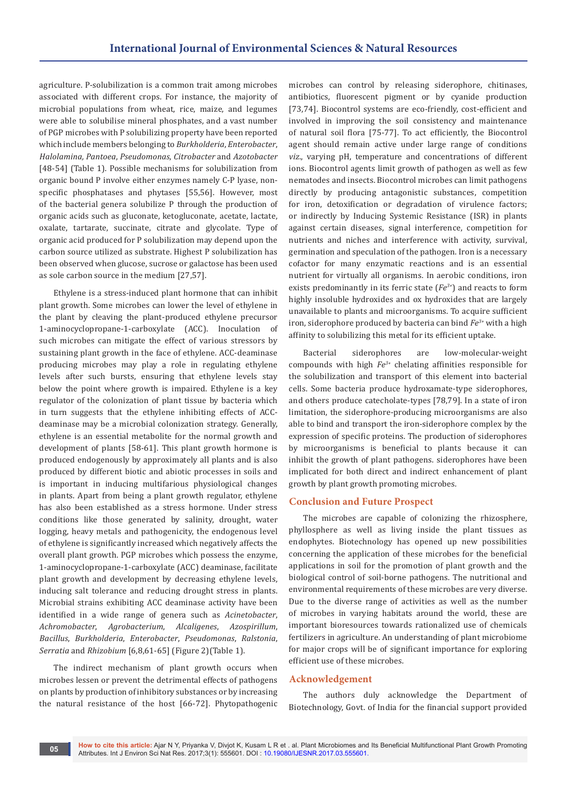agriculture. P-solubilization is a common trait among microbes associated with different crops. For instance, the majority of microbial populations from wheat, rice, maize, and legumes were able to solubilise mineral phosphates, and a vast number of PGP microbes with P solubilizing property have been reported which include members belonging to *Burkholderia*, *Enterobacter*, *Halolamina, Pantoea*, *Pseudomonas*, *Citrobacter* and *Azotobacter* [48-54] (Table 1). Possible mechanisms for solubilization from organic bound P involve either enzymes namely C-P lyase, nonspecific phosphatases and phytases [55,56]. However, most of the bacterial genera solubilize P through the production of organic acids such as gluconate, ketogluconate, acetate, lactate, oxalate, tartarate, succinate, citrate and glycolate. Type of organic acid produced for P solubilization may depend upon the carbon source utilized as substrate. Highest P solubilization has been observed when glucose, sucrose or galactose has been used as sole carbon source in the medium [27,57].

Ethylene is a stress-induced plant hormone that can inhibit plant growth. Some microbes can lower the level of ethylene in the plant by cleaving the plant-produced ethylene precursor 1-aminocyclopropane-1-carboxylate (ACC). Inoculation of such microbes can mitigate the effect of various stressors by sustaining plant growth in the face of ethylene. ACC-deaminase producing microbes may play a role in regulating ethylene levels after such bursts, ensuring that ethylene levels stay below the point where growth is impaired. Ethylene is a key regulator of the colonization of plant tissue by bacteria which in turn suggests that the ethylene inhibiting effects of ACCdeaminase may be a microbial colonization strategy. Generally, ethylene is an essential metabolite for the normal growth and development of plants [58-61]. This plant growth hormone is produced endogenously by approximately all plants and is also produced by different biotic and abiotic processes in soils and is important in inducing multifarious physiological changes in plants. Apart from being a plant growth regulator, ethylene has also been established as a stress hormone. Under stress conditions like those generated by salinity, drought, water logging, heavy metals and pathogenicity, the endogenous level of ethylene is significantly increased which negatively affects the overall plant growth. PGP microbes which possess the enzyme, 1-aminocyclopropane-1-carboxylate (ACC) deaminase, facilitate plant growth and development by decreasing ethylene levels, inducing salt tolerance and reducing drought stress in plants. Microbial strains exhibiting ACC deaminase activity have been identified in a wide range of genera such as *Acinetobacter*, *Achromobacter*, *Agrobacterium*, *Alcaligenes*, *Azospirillum*, *Bacillus*, *Burkholderia*, *Enterobacter*, *Pseudomonas*, *Ralstonia*, *Serratia* and *Rhizobium* [6,8,61-65] (Figure 2)(Table 1).

The indirect mechanism of plant growth occurs when microbes lessen or prevent the detrimental effects of pathogens on plants by production of inhibitory substances or by increasing the natural resistance of the host [66-72]. Phytopathogenic microbes can control by releasing siderophore, chitinases, antibiotics, fluorescent pigment or by cyanide production [73,74]. Biocontrol systems are eco-friendly, cost-efficient and involved in improving the soil consistency and maintenance of natural soil flora [75-77]. To act efficiently, the Biocontrol agent should remain active under large range of conditions *viz*., varying pH, temperature and concentrations of different ions. Biocontrol agents limit growth of pathogen as well as few nematodes and insects. Biocontrol microbes can limit pathogens directly by producing antagonistic substances, competition for iron, detoxification or degradation of virulence factors; or indirectly by Inducing Systemic Resistance (ISR) in plants against certain diseases, signal interference, competition for nutrients and niches and interference with activity, survival, germination and speculation of the pathogen. Iron is a necessary cofactor for many enzymatic reactions and is an essential nutrient for virtually all organisms. In aerobic conditions, iron exists predominantly in its ferric state (*Fe3+*) and reacts to form highly insoluble hydroxides and ox hydroxides that are largely unavailable to plants and microorganisms. To acquire sufficient iron, siderophore produced by bacteria can bind *Fe3+* with a high affinity to solubilizing this metal for its efficient uptake.

Bacterial siderophores are low-molecular-weight compounds with high *Fe3+* chelating affinities responsible for the solubilization and transport of this element into bacterial cells. Some bacteria produce hydroxamate-type siderophores, and others produce catecholate-types [78,79]. In a state of iron limitation, the siderophore-producing microorganisms are also able to bind and transport the iron-siderophore complex by the expression of specific proteins. The production of siderophores by microorganisms is beneficial to plants because it can inhibit the growth of plant pathogens. siderophores have been implicated for both direct and indirect enhancement of plant growth by plant growth promoting microbes.

# **Conclusion and Future Prospect**

The microbes are capable of colonizing the rhizosphere, phyllosphere as well as living inside the plant tissues as endophytes. Biotechnology has opened up new possibilities concerning the application of these microbes for the beneficial applications in soil for the promotion of plant growth and the biological control of soil-borne pathogens. The nutritional and environmental requirements of these microbes are very diverse. Due to the diverse range of activities as well as the number of microbes in varying habitats around the world, these are important bioresources towards rationalized use of chemicals fertilizers in agriculture. An understanding of plant microbiome for major crops will be of significant importance for exploring efficient use of these microbes.

#### **Acknowledgement**

The authors duly acknowledge the Department of Biotechnology, Govt. of India for the financial support provided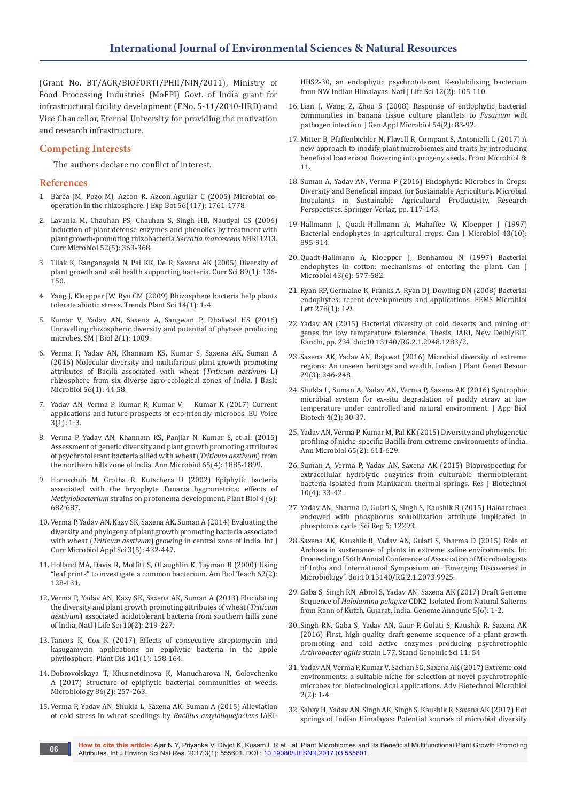(Grant No. BT/AGR/BIOFORTI/PHII/NIN/2011), Ministry of Food Processing Industries (MoFPI) Govt. of India grant for infrastructural facility development (F.No. 5-11/2010-HRD) and Vice Chancellor, Eternal University for providing the motivation and research infrastructure.

### **Competing Interests**

The authors declare no conflict of interest.

#### **References**

- 1. [Barea JM, Pozo MJ, Azcon R, Azcon Aguilar C \(2005\) Microbial co](https://www.ncbi.nlm.nih.gov/pubmed/15911555)[operation in the rhizosphere. J Exp Bot 56\(417\): 1761-1778.](https://www.ncbi.nlm.nih.gov/pubmed/15911555)
- 2. [Lavania M, Chauhan PS, Chauhan S, Singh HB, Nautiyal CS \(2006\)](https://www.ncbi.nlm.nih.gov/pubmed/16586018)  [Induction of plant defense enzymes and phenolics by treatment with](https://www.ncbi.nlm.nih.gov/pubmed/16586018)  [plant growth-promoting rhizobacteria](https://www.ncbi.nlm.nih.gov/pubmed/16586018) *Serratia marcescens* NBRI1213. [Curr Microbiol 52\(5\): 363-368.](https://www.ncbi.nlm.nih.gov/pubmed/16586018)
- 3. [Tilak K, Ranganayaki N, Pal KK, De R, Saxena AK \(2005\) Diversity of](http://www.iisc.ernet.in/currsci/jul102005/136.pdf)  [plant growth and soil health supporting bacteria. Curr Sci 89\(1\): 136-](http://www.iisc.ernet.in/currsci/jul102005/136.pdf) [150.](http://www.iisc.ernet.in/currsci/jul102005/136.pdf)
- 4. [Yang J, Kloepper JW, Ryu CM \(2009\) Rhizosphere bacteria help plants](https://www.ncbi.nlm.nih.gov/pubmed/19056309)  [tolerate abiotic stress. Trends Plant Sci 14\(1\): 1-4.](https://www.ncbi.nlm.nih.gov/pubmed/19056309)
- 5. [Kumar V, Yadav AN, Saxena A, Sangwan P, Dhaliwal HS \(2016\)](https://www.researchgate.net/publication/302908874_Unravelling_Rhizospheric_Diversity_and_Potential_of_Phytase_Producing_Microbes)  [Unravelling rhizospheric diversity and potential of phytase producing](https://www.researchgate.net/publication/302908874_Unravelling_Rhizospheric_Diversity_and_Potential_of_Phytase_Producing_Microbes)  [microbes. SM J Biol 2\(1\): 1009.](https://www.researchgate.net/publication/302908874_Unravelling_Rhizospheric_Diversity_and_Potential_of_Phytase_Producing_Microbes)
- 6. [Verma P, Yadav AN, Khannam KS, Kumar S, Saxena AK, Suman A](https://www.ncbi.nlm.nih.gov/pubmed/26567901)  [\(2016\) Molecular diversity and multifarious plant growth promoting](https://www.ncbi.nlm.nih.gov/pubmed/26567901)  [attributes of Bacilli associated with wheat \(](https://www.ncbi.nlm.nih.gov/pubmed/26567901)*Triticum aestivum* L) [rhizosphere from six diverse agro-ecological zones of India. J Basic](https://www.ncbi.nlm.nih.gov/pubmed/26567901)  [Microbiol 56\(1\): 44-58.](https://www.ncbi.nlm.nih.gov/pubmed/26567901)
- 7. Yadav AN, Verma P, Kumar R, Kumar V, Kumar K [\(2017\) Current](http://www.tandfonline.com/doi/full/10.1080/16546628.2017.1318034)  [applications and future prospects of eco-friendly microbes. EU Voice](http://www.tandfonline.com/doi/full/10.1080/16546628.2017.1318034)  [3\(1\): 1-3.](http://www.tandfonline.com/doi/full/10.1080/16546628.2017.1318034)
- 8. [Verma P, Yadav AN, Khannam KS, Panjiar N, Kumar S, et al. \(2015\)](https://link.springer.com/article/10.1007/s13213-014-1027-4)  [Assessment of genetic diversity and plant growth promoting attributes](https://link.springer.com/article/10.1007/s13213-014-1027-4)  [of psychrotolerant bacteria allied with wheat \(](https://link.springer.com/article/10.1007/s13213-014-1027-4)*Triticum aestivum*) from [the northern hills zone of India. Ann Microbiol 65\(4\): 1885-1899](https://link.springer.com/article/10.1007/s13213-014-1027-4).
- 9. [Hornschuh M, Grotha R, Kutschera U \(2002\) Epiphytic bacteria](http://onlinelibrary.wiley.com/doi/10.1055/s-2002-37403/abstract)  [associated with the bryophyte Funaria hygrometrica: effects of](http://onlinelibrary.wiley.com/doi/10.1055/s-2002-37403/abstract)  *Methylobacterium* [strains on protonema development. Plant Biol 4 \(6\):](http://onlinelibrary.wiley.com/doi/10.1055/s-2002-37403/abstract)  [682-687.](http://onlinelibrary.wiley.com/doi/10.1055/s-2002-37403/abstract)
- 10. [Verma P, Yadav AN, Kazy SK, Saxena AK, Suman A \(2014\) Evaluating the](https://www.researchgate.net/publication/302908874_Unravelling_Rhizospheric_Diversity_and_Potential_of_Phytase_Producing_Microbes)  [diversity and phylogeny of plant growth promoting bacteria associated](https://www.researchgate.net/publication/302908874_Unravelling_Rhizospheric_Diversity_and_Potential_of_Phytase_Producing_Microbes)  with wheat (*Triticum aestivum*[\) growing in central zone of India. Int J](https://www.researchgate.net/publication/302908874_Unravelling_Rhizospheric_Diversity_and_Potential_of_Phytase_Producing_Microbes)  [Curr Microbiol Appl Sci 3\(5\): 432-447.](https://www.researchgate.net/publication/302908874_Unravelling_Rhizospheric_Diversity_and_Potential_of_Phytase_Producing_Microbes)
- 11. Holland MA, Davis R, Moffitt S, OLaughlin K, Tayman B (2000) Using "leaf prints" to investigate a common bacterium. Am Biol Teach 62(2): 128-131.
- 12. [Verma P, Yadav AN, Kazy SK, Saxena AK, Suman A \(2013\) Elucidating](http://www.academia.edu/)  [the diversity and plant growth promoting attributes of wheat \(](http://www.academia.edu/)*Triticum aestivum*[\) associated acidotolerant bacteria from southern hills zone](http://www.academia.edu/)  [of India. Natl J Life Sci 10\(2\): 219-227.](http://www.academia.edu/)
- 13. [Tancos K, Cox K \(2017\) Effects of consecutive streptomycin and](http://apsjournals.apsnet.org/doi/abs/10.1094/PDIS-06-16-0794-RE)  [kasugamycin applications on epiphytic bacteria in the apple](http://apsjournals.apsnet.org/doi/abs/10.1094/PDIS-06-16-0794-RE)  [phyllosphere. Plant Dis 101\(1\): 158-164.](http://apsjournals.apsnet.org/doi/abs/10.1094/PDIS-06-16-0794-RE)
- 14. [Dobrovolskaya T, Khusnetdinova K, Manucharova N, Golovchenko](https://link.springer.com/article/10.1134/S0026261717020072)  [A \(2017\) Structure of epiphytic bacterial communities of weeds.](https://link.springer.com/article/10.1134/S0026261717020072)  [Microbiology 86\(2\): 257-263.](https://link.springer.com/article/10.1134/S0026261717020072)
- 15. [Verma P, Yadav AN, Shukla L, Saxena AK, Suman A \(2015\) Alleviation](https://www.researchgate.net/publication/302908874_Unravelling_Rhizospheric_Diversity_and_Potential_of_Phytase_Producing_Microbes)  [of cold stress in wheat seedlings by](https://www.researchgate.net/publication/302908874_Unravelling_Rhizospheric_Diversity_and_Potential_of_Phytase_Producing_Microbes) *Bacillus amyloliquefaciens* IARI-

[HHS2-30, an endophytic psychrotolerant K-solubilizing bacterium](https://www.researchgate.net/publication/302908874_Unravelling_Rhizospheric_Diversity_and_Potential_of_Phytase_Producing_Microbes)  [from NW Indian Himalayas. Natl J Life Sci 12\(2\): 105-110.](https://www.researchgate.net/publication/302908874_Unravelling_Rhizospheric_Diversity_and_Potential_of_Phytase_Producing_Microbes)

- 16. [Lian J, Wang Z, Zhou S \(2008\) Response of endophytic bacterial](https://www.ncbi.nlm.nih.gov/pubmed/18497482)  [communities in banana tissue culture plantlets to](https://www.ncbi.nlm.nih.gov/pubmed/18497482) *Fusarium* wilt [pathogen infection. J Gen Appl Microbiol 54\(2\): 83-92.](https://www.ncbi.nlm.nih.gov/pubmed/18497482)
- 17. [Mitter B, Pfaffenbichler N, Flavell R, Compant S, Antonielli L \(2017\) A](https://www.ncbi.nlm.nih.gov/pubmed/28167932)  [new approach to modify plant microbiomes and traits by introducing](https://www.ncbi.nlm.nih.gov/pubmed/28167932)  [beneficial bacteria at flowering into progeny seeds. Front Microbiol 8:](https://www.ncbi.nlm.nih.gov/pubmed/28167932)  [11.](https://www.ncbi.nlm.nih.gov/pubmed/28167932)
- 18. [Suman A, Yadav AN, Verma P \(2016\) Endophytic Microbes in Crops:](https://link.springer.com/chapter/10.1007%2F978-81-322-2647-5_7)  [Diversity and Beneficial impact for Sustainable Agriculture. Microbial](https://link.springer.com/chapter/10.1007%2F978-81-322-2647-5_7)  [Inoculants in Sustainable Agricultural Productivity, Research](https://link.springer.com/chapter/10.1007%2F978-81-322-2647-5_7)  [Perspectives. Springer-Verlag, pp. 117-143.](https://link.springer.com/chapter/10.1007%2F978-81-322-2647-5_7)
- 19. Hallmann J, Quadt-Hallmann A, Mahaffee W, Kloepper J (1997) Bacterial endophytes in agricultural crops. Can J Microbiol 43(10): 895-914.
- 20. [Quadt-Hallmann A, Kloepper J, Benhamou N \(1997\) Bacterial](DOI: 10.13140/RG.2.1.2948.1283/2)  [endophytes in cotton: mechanisms of entering the plant. Can J](DOI: 10.13140/RG.2.1.2948.1283/2)  [Microbiol 43\(6\): 577-582.](DOI: 10.13140/RG.2.1.2948.1283/2)
- 21. [Ryan RP, Germaine K, Franks A, Ryan DJ, Dowling DN \(2008\) Bacterial](https://www.ncbi.nlm.nih.gov/pubmed/18034833)  [endophytes: recent developments and applications. FEMS Microbiol](https://www.ncbi.nlm.nih.gov/pubmed/18034833)  [Lett 278\(1\): 1-9.](https://www.ncbi.nlm.nih.gov/pubmed/18034833)
- 22. [Yadav AN \(2015\) Bacterial diversity of cold deserts and mining of](https://www.researchgate.net/publication/302908874_Unravelling_Rhizospheric_Diversity_and_Potential_of_Phytase_Producing_Microbes)  [genes for low temperature tolerance. Thesis, IARI, New Delhi/BIT,](https://www.researchgate.net/publication/302908874_Unravelling_Rhizospheric_Diversity_and_Potential_of_Phytase_Producing_Microbes)  [Ranchi,](https://www.researchgate.net/publication/302908874_Unravelling_Rhizospheric_Diversity_and_Potential_of_Phytase_Producing_Microbes) pp. 234. doi:10.13140/RG.2.1.2948.1283/2.
- 23. [Saxena AK, Yadav AN, Rajawat \(2016\) Microbial diversity of extreme](http://www.indianjournals.com/ijor.aspx?target=ijor:ijpgr&volume=29&issue=3&article=007)  [regions: An unseen heritage and wealth. Indian J Plant Genet Resour](http://www.indianjournals.com/ijor.aspx?target=ijor:ijpgr&volume=29&issue=3&article=007)  [29\(3\): 246-248.](http://www.indianjournals.com/ijor.aspx?target=ijor:ijpgr&volume=29&issue=3&article=007)
- 24. [Shukla L, Suman A, Yadav AN, Verma P, Saxena AK \(2016\) Syntrophic](http://jabonline.in/admin/php/uploads/123_pdf.pdf)  [microbial system for ex-situ degradation of paddy straw at low](http://jabonline.in/admin/php/uploads/123_pdf.pdf)  [temperature under controlled and natural environment. J App Biol](http://jabonline.in/admin/php/uploads/123_pdf.pdf)  [Biotech 4\(2\): 30-37.](http://jabonline.in/admin/php/uploads/123_pdf.pdf)
- 25. [Yadav AN, Verma P, Kumar M, Pal KK \(2015\) Diversity and phylogenetic](https://link.springer.com/article/10.1007/s13213-014-0897-9)  [profiling of niche-specific Bacilli from extreme environments of India.](https://link.springer.com/article/10.1007/s13213-014-0897-9)  [Ann Microbiol 65\(2\): 611-629.](https://link.springer.com/article/10.1007/s13213-014-0897-9)
- 26. [Suman A, Verma P, Yadav AN, Saxena AK \(2015\) Bioprospecting for](https://www.researchgate.net/publication/302908874_Unravelling_Rhizospheric_Diversity_and_Potential_of_Phytase_Producing_Microbes)  [extracellular hydrolytic enzymes from culturable thermotolerant](https://www.researchgate.net/publication/302908874_Unravelling_Rhizospheric_Diversity_and_Potential_of_Phytase_Producing_Microbes)  [bacteria isolated from Manikaran thermal springs. Res J Biotechnol](https://www.researchgate.net/publication/302908874_Unravelling_Rhizospheric_Diversity_and_Potential_of_Phytase_Producing_Microbes)  [10\(4\): 33-42.](https://www.researchgate.net/publication/302908874_Unravelling_Rhizospheric_Diversity_and_Potential_of_Phytase_Producing_Microbes)
- 27. [Yadav AN, Sharma D, Gulati S, Singh S, Kaushik R \(2015\) Haloarchaea](https://www.ncbi.nlm.nih.gov/pubmed/26216440)  [endowed with phosphorus solubilization attribute implicated in](https://www.ncbi.nlm.nih.gov/pubmed/26216440)  [phosphorus cycle. Sci Rep 5: 12293.](https://www.ncbi.nlm.nih.gov/pubmed/26216440)
- 28. [Saxena AK, Kaushik R, Yadav AN, Gulati S, Sharma D \(2015\) Role of](https://www.researchgate.net/publication/286454452_Role_of_Archaea_in_sustenance_of_plants_in_extreme_saline_environments)  [Archaea in sustenance of plants in extreme saline environments. In:](https://www.researchgate.net/publication/286454452_Role_of_Archaea_in_sustenance_of_plants_in_extreme_saline_environments)  [Proceeding of 56th Annual Conference of Association of Microbiologists](https://www.researchgate.net/publication/286454452_Role_of_Archaea_in_sustenance_of_plants_in_extreme_saline_environments)  [of India and International Symposium on "Emerging Discoveries in](https://www.researchgate.net/publication/286454452_Role_of_Archaea_in_sustenance_of_plants_in_extreme_saline_environments)  [Microbiology". doi:10.13140/RG.2.1.2073.9925.](https://www.researchgate.net/publication/286454452_Role_of_Archaea_in_sustenance_of_plants_in_extreme_saline_environments)
- 29. [Gaba S, Singh RN, Abrol S, Yadav AN, Saxena AK \(2017\) Draft Genome](https://www.ncbi.nlm.nih.gov/pubmed/28183764)  Sequence of *Halolamina pelagica* [CDK2 Isolated from Natural Salterns](https://www.ncbi.nlm.nih.gov/pubmed/28183764)  [from Rann of Kutch, Gujarat, India. Genome Announc 5\(6\): 1-2.](https://www.ncbi.nlm.nih.gov/pubmed/28183764)
- 30. [Singh RN, Gaba S, Yadav AN, Gaur P, Gulati S, Kaushik R, Saxena AK](https://standardsingenomics.biomedcentral.com/articles/10.1186/s40793-016-0176-4)  [\(2016\) First, high quality draft genome sequence of a plant growth](https://standardsingenomics.biomedcentral.com/articles/10.1186/s40793-016-0176-4)  [promoting and cold active enzymes producing psychrotrophic](https://standardsingenomics.biomedcentral.com/articles/10.1186/s40793-016-0176-4)  *Arthrobacter agilis* [strain L77. Stand Genomic Sci 11: 54](https://standardsingenomics.biomedcentral.com/articles/10.1186/s40793-016-0176-4)
- 31. [Yadav AN, Verma P, Kumar V, Sachan SG, Saxena AK \(2017\) Extreme cold](https://juniperpublishers.com/aibm/pdf/AIBM.MS.ID.555584.pdf)  [environments: a suitable niche for selection of novel psychrotrophic](https://juniperpublishers.com/aibm/pdf/AIBM.MS.ID.555584.pdf)  [microbes for biotechnological applications. Adv Biotechnol Microbiol](https://juniperpublishers.com/aibm/pdf/AIBM.MS.ID.555584.pdf)  [2\(2\): 1-4.](https://juniperpublishers.com/aibm/pdf/AIBM.MS.ID.555584.pdf)
- 32. [Sahay H, Yadav AN, Singh AK, Singh S, Kaushik R, Saxena AK \(2017\) Hot](https://link.springer.com/article/10.1007/s13205-017-0762-1)  [springs of Indian Himalayas: Potential sources of microbial diversity](https://link.springer.com/article/10.1007/s13205-017-0762-1)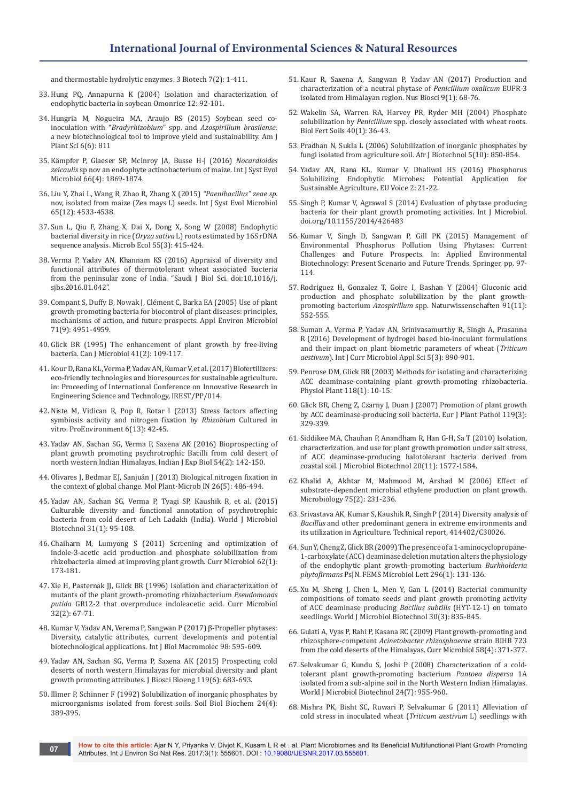[and thermostable hydrolytic enzymes. 3 Biotech 7\(2\): 1-411.](https://link.springer.com/article/10.1007/s13205-017-0762-1)

- 33. [Hung PQ, Annapurna K \(2004\) Isolation and characterization of](http://www.pjmonline.org/wp-content/uploads/2015/12/vol5842009355.pdf)  [endophytic bacteria in soybean Omonrice 12: 92-101.](http://www.pjmonline.org/wp-content/uploads/2015/12/vol5842009355.pdf)
- 34. [Hungria M, Nogueira MA, Araujo RS \(2015\) Soybean seed co](https://www.scirp.org/journal/PaperInformation.aspx?PaperID=57586)inoculation with "*Bradyrhizobium*" spp. and *Azospirillum brasilense*: [a new biotechnological tool to improve yield and sustainability. Am J](https://www.scirp.org/journal/PaperInformation.aspx?PaperID=57586)  [Plant Sci 6\(6\): 811](https://www.scirp.org/journal/PaperInformation.aspx?PaperID=57586)
- 35. [Kämpfer P, Glaeser SP, McInroy JA, Busse H-J \(2016\)](https://www.ncbi.nlm.nih.gov/pubmed/26867539) *Nocardioides zeicaulis* [sp nov an endophyte actinobacterium of maize. Int J Syst Evol](https://www.ncbi.nlm.nih.gov/pubmed/26867539)  [Microbiol 66\(4\): 1869-1874.](https://www.ncbi.nlm.nih.gov/pubmed/26867539)
- 36. [Liu Y, Zhai L, Wang R, Zhao R, Zhang X \(2015\)](https://www.ncbi.nlm.nih.gov/pubmed/2637345) *"Paenibacillus" zeae sp.* [nov, isolated from maize \(Zea mays L\) seeds. Int J Syst Evol Microbiol](https://www.ncbi.nlm.nih.gov/pubmed/2637345)  [65\(12\): 4533-4538](https://www.ncbi.nlm.nih.gov/pubmed/2637345).
- 37. [Sun L, Qiu F, Zhang X, Dai X, Dong X, Song W \(2008\) Endophytic](https://www.ncbi.nlm.nih.gov/pubmed/17690836)  bacterial diversity in rice (*Oryza sativa* [L\) roots estimated by 16S rDNA](https://www.ncbi.nlm.nih.gov/pubmed/17690836)  [sequence analysis. Microb Ecol 55\(3\): 415-424.](https://www.ncbi.nlm.nih.gov/pubmed/17690836)
- 38. [Verma P, Yadav AN, Khannam KS \(2016\) Appraisal of diversity and](https://www.researchgate.net/publication/286454452_Role_of_Archaea_in_sustenance_of_plants_in_extreme_saline_environments)  [functional attributes of thermotolerant wheat associated bacteria](https://www.researchgate.net/publication/286454452_Role_of_Archaea_in_sustenance_of_plants_in_extreme_saline_environments)  [from the peninsular zone of India. "Saudi J Biol Sci. doi:10.1016/j.](https://www.researchgate.net/publication/286454452_Role_of_Archaea_in_sustenance_of_plants_in_extreme_saline_environments) [sjbs.2016.01.042".](https://www.researchgate.net/publication/286454452_Role_of_Archaea_in_sustenance_of_plants_in_extreme_saline_environments)
- 39. [Compant S, Duffy B, Nowak J, Clément C, Barka EA \(2005\) Use of plant](https://www.ncbi.nlm.nih.gov/pubmed/16151072)  [growth-promoting bacteria for biocontrol of plant diseases: principles,](https://www.ncbi.nlm.nih.gov/pubmed/16151072)  [mechanisms of action, and future prospects. Appl Environ Microbiol](https://www.ncbi.nlm.nih.gov/pubmed/16151072)  [71\(9\): 4951-4959.](https://www.ncbi.nlm.nih.gov/pubmed/16151072)
- 40. [Glick BR \(1995\) The enhancement of plant growth by free-living](http://www.nrcresearchpress.com/doi/abs/10.1139/m95-015)  [bacteria. Can J Microbiol 41\(2\): 109-117.](http://www.nrcresearchpress.com/doi/abs/10.1139/m95-015)
- 41. [Kour D, Rana KL, Verma P, Yadav AN, Kumar V, et al. \(2017\) Biofertilizers:](https://www.omicsonline.org)  [eco-friendly technologies and bioresources for sustainable agriculture.](https://www.omicsonline.org)  [in: Proceeding of International Conference on Innovative Research in](https://www.omicsonline.org)  [Engineering Science and Technology, IREST/PP/014.](https://www.omicsonline.org)
- 42. [Niste M, Vidican R, Pop R, Rotar I \(2013\) Stress factors affecting](http://journals.usamvcluj.ro/index.php/promediu/article/view/9100)  [symbiosis activity and nitrogen fixation by](http://journals.usamvcluj.ro/index.php/promediu/article/view/9100) *Rhizobium* Cultured in [vitro. ProEnvironment 6\(13\): 42-45.](http://journals.usamvcluj.ro/index.php/promediu/article/view/9100)
- 43. [Yadav AN, Sachan SG, Verma P, Saxena AK \(2016\) Bioprospecting of](https://www.ncbi.nlm.nih.gov/pubmed/26934782)  [plant growth promoting psychrotrophic Bacilli from cold desert of](https://www.ncbi.nlm.nih.gov/pubmed/26934782)  [north western Indian Himalayas. Indian J Exp Biol 54\(2\): 142-150.](https://www.ncbi.nlm.nih.gov/pubmed/26934782)
- 44. Olivares J, Bedmar EJ, Sanju[án J \(2013\) Biological nitrogen fixation in](https://www.ncbi.nlm.nih.gov/pubmed/23360457)  [the context of global change. Mol Plant-Microb IN 26\(5\): 486-494.](https://www.ncbi.nlm.nih.gov/pubmed/23360457)
- 45. [Yadav AN, Sachan SG, Verma P, Tyagi SP, Kaushik R, et al. \(2015\)](https://www.ncbi.nlm.nih.gov/pubmed/25371316)  [Culturable diversity and functional annotation of psychrotrophic](https://www.ncbi.nlm.nih.gov/pubmed/25371316)  [bacteria from cold desert of Leh Ladakh \(India\). World J Microbiol](https://www.ncbi.nlm.nih.gov/pubmed/25371316)  [Biotechnol 31\(1\): 95-108.](https://www.ncbi.nlm.nih.gov/pubmed/25371316)
- 46. [Chaiharn M, Lumyong S \(2011\) Screening and optimization of](https://www.ncbi.nlm.nih.gov/pubmed/20552360)  [indole-3-acetic acid production and phosphate solubilization from](https://www.ncbi.nlm.nih.gov/pubmed/20552360)  [rhizobacteria aimed at improving plant growth. Curr Microbiol 62\(1\):](https://www.ncbi.nlm.nih.gov/pubmed/20552360)  [173-181.](https://www.ncbi.nlm.nih.gov/pubmed/20552360)
- 47. Xie H, Pasternak JJ, Glick BR (1996) Isolation and characterization of [mutants of the plant growth-promoting rhizobacterium](https://link.springer.com/article/10.1007/s002849900012) *Pseudomonas putida* [GR12-2 that overproduce indoleacetic acid. Curr Microbiol](https://link.springer.com/article/10.1007/s002849900012)  [32\(2\): 67-71](https://link.springer.com/article/10.1007/s002849900012).
- 48. [Kumar V, Yadav AN, Verema P, Sangwan P \(2017\) β-Propeller phytases:](https://www.ncbi.nlm.nih.gov/pubmed/28174082)  [Diversity, catalytic attributes, current developments and potential](https://www.ncbi.nlm.nih.gov/pubmed/28174082)  [biotechnological applications. Int J Biol Macromolec 98: 595-609.](https://www.ncbi.nlm.nih.gov/pubmed/28174082)
- 49. [Yadav AN, Sachan SG, Verma P, Saxena AK \(2015\) Prospecting cold](https://www.ncbi.nlm.nih.gov/pubmed/25575970)  [deserts of north western Himalayas for microbial diversity and plant](https://www.ncbi.nlm.nih.gov/pubmed/25575970)  [growth promoting attributes. J Biosci Bioeng 119\(6\): 683-693.](https://www.ncbi.nlm.nih.gov/pubmed/25575970)
- 50. [Illmer P, Schinner F \(1992\) Solubilization of inorganic phosphates by](https://www.ncbi.nlm.nih.gov/pmc/articles/PMC3768359/)  [microorganisms isolated from forest soils. Soil Biol Biochem 24\(4\):](https://www.ncbi.nlm.nih.gov/pmc/articles/PMC3768359/)  [389-395.](https://www.ncbi.nlm.nih.gov/pmc/articles/PMC3768359/)
- 51. [Kaur R, Saxena A, Sangwan P, Yadav AN \(2017\) Production and](http://biosains.mipa.uns.ac.id/N/N0901/N090112.pdf)  [characterization of a neutral phytase of](http://biosains.mipa.uns.ac.id/N/N0901/N090112.pdf) *Penicillium oxalicum* EUFR-3 [isolated from Himalayan region. Nus Biosci 9\(1\): 68-76.](http://biosains.mipa.uns.ac.id/N/N0901/N090112.pdf)
- 52. [Wakelin SA, Warren RA, Harvey PR, Ryder MH \(2004\) Phosphate](https://link.springer.com/article/10.1007/s00374-004-0750-6)  solubilization by *Penicillium* [spp. closely associated with wheat roots.](https://link.springer.com/article/10.1007/s00374-004-0750-6)  [Biol Fert Soils 40\(1\): 36-43.](https://link.springer.com/article/10.1007/s00374-004-0750-6)
- 53. [Pradhan N, Sukla L \(2006\) Solubilization of inorganic phosphates by](http://www.academicjournals.org/article/article1379778425_Pradhan%20and%20Sukla.pdf)  [fungi isolated from agriculture soil. Afr J Biotechnol 5\(10\): 850-854.](http://www.academicjournals.org/article/article1379778425_Pradhan%20and%20Sukla.pdf)
- 54. [Yadav AN, Rana KL, Kumar V, Dhaliwal HS \(2016\) Phosphorus](https://www.researchgate.net/publication/286454452_Role_of_Archaea_in_sustenance_of_plants_in_extreme_saline_environments)  [Solubilizing Endophytic Microbes: Potential Application for](https://www.researchgate.net/publication/286454452_Role_of_Archaea_in_sustenance_of_plants_in_extreme_saline_environments)  [Sustainable Agriculture. EU Voice 2: 21-22.](https://www.researchgate.net/publication/286454452_Role_of_Archaea_in_sustenance_of_plants_in_extreme_saline_environments)
- 55. [Singh P, Kumar V, Agrawal S \(2014\) Evaluation of phytase producing](https://www.hindawi.com/journals/ijmicro/2014/426483/)  [bacteria for their plant growth promoting activities. Int J Microbiol.](https://www.hindawi.com/journals/ijmicro/2014/426483/)  [doi.org/10.1155/2014/426483](https://www.hindawi.com/journals/ijmicro/2014/426483/)
- 56. [Kumar V, Singh D, Sangwan P, Gill PK \(2015\) Management of](https://link.springer.com/chapter/10.1007%2F978-81-322-2123-4_7)  [Environmental Phosphorus Pollution Using Phytases: Current](https://link.springer.com/chapter/10.1007%2F978-81-322-2123-4_7)  [Challenges and Future Prospects. In: Applied Environmental](https://link.springer.com/chapter/10.1007%2F978-81-322-2123-4_7)  [Biotechnology: Present Scenario and Future Trends. Springer, pp. 97-](https://link.springer.com/chapter/10.1007%2F978-81-322-2123-4_7) [114.](https://link.springer.com/chapter/10.1007%2F978-81-322-2123-4_7)
- 57. [Rodriguez H, Gonzalez T, Goire I, Bashan Y \(2004\) Gluconic acid](https://www.ncbi.nlm.nih.gov/pubmed/15502903)  [production and phosphate solubilization by the plant growth](https://www.ncbi.nlm.nih.gov/pubmed/15502903)promoting bacterium *Azospirillum* [spp. Naturwissenschaften 91\(11\):](https://www.ncbi.nlm.nih.gov/pubmed/15502903)  [552-555.](https://www.ncbi.nlm.nih.gov/pubmed/15502903)
- 58. [Suman A, Verma P, Yadav AN, Srinivasamurthy R, Singh A, Prasanna](https://www.researchgate.net/publication/286454452_Role_of_Archaea_in_sustenance_of_plants_in_extreme_saline_environments)  [R \(2016\) Development of hydrogel based bio-inoculant formulations](https://www.researchgate.net/publication/286454452_Role_of_Archaea_in_sustenance_of_plants_in_extreme_saline_environments)  [and their impact on plant biometric parameters of wheat \(](https://www.researchgate.net/publication/286454452_Role_of_Archaea_in_sustenance_of_plants_in_extreme_saline_environments)*Triticum aestivum*[\). Int J Curr Microbiol Appl Sci 5\(3\): 890-901](https://www.researchgate.net/publication/286454452_Role_of_Archaea_in_sustenance_of_plants_in_extreme_saline_environments).
- 59. [Penrose DM, Glick BR \(2003\) Methods for isolating and characterizing](http://onlinelibrary.wiley.com/doi/10.1034/j.1399-3054.2003.00086.x/abstract)  [ACC deaminase-containing plant growth-promoting rhizobacteria.](http://onlinelibrary.wiley.com/doi/10.1034/j.1399-3054.2003.00086.x/abstract)  [Physiol Plant 118\(1\): 10-15.](http://onlinelibrary.wiley.com/doi/10.1034/j.1399-3054.2003.00086.x/abstract)
- 60. [Glick BR, Cheng Z, Czarny J, Duan J \(2007\) Promotion of plant growth](https://link.springer.com/article/10.1007/s10658-007-9162-4)  [by ACC deaminase-producing soil bacteria. Eur J Plant Pathol 119\(3\):](https://link.springer.com/article/10.1007/s10658-007-9162-4)  [329-339.](https://link.springer.com/article/10.1007/s10658-007-9162-4)
- 61. [Siddikee MA, Chauhan P, Anandham R, Han G-H, Sa T \(2010\) Isolation,](https://www.ncbi.nlm.nih.gov/pubmed/21124065)  [characterization, and use for plant growth promotion under salt stress,](https://www.ncbi.nlm.nih.gov/pubmed/21124065)  [of ACC deaminase-producing halotolerant bacteria derived from](https://www.ncbi.nlm.nih.gov/pubmed/21124065)  [coastal soil. J Microbiol Biotechnol 20\(11\): 1577-1584.](https://www.ncbi.nlm.nih.gov/pubmed/21124065)
- 62. [Khalid A, Akhtar M, Mahmood M, Arshad M \(2006\) Effect of](https://link.springer.com/article/10.1134/S0026261706020196)  [substrate-dependent microbial ethylene production on plant growth.](https://link.springer.com/article/10.1134/S0026261706020196)  [Microbiology 75\(2\): 231-236.](https://link.springer.com/article/10.1134/S0026261706020196)
- 63. [Srivastava AK, Kumar S, Kaushik R, Singh P \(2014\) Diversity analysis of](https://www.researchgate.net/publication/286454452_Role_of_Archaea_in_sustenance_of_plants_in_extreme_saline_environments)  *Bacillus* [and other predominant genera in extreme environments and](https://www.researchgate.net/publication/286454452_Role_of_Archaea_in_sustenance_of_plants_in_extreme_saline_environments)  [its utilization in Agriculture. Technical report, 414402/C30026.](https://www.researchgate.net/publication/286454452_Role_of_Archaea_in_sustenance_of_plants_in_extreme_saline_environments)
- 64. [Sun Y, Cheng Z, Glick BR \(2009\) The presence of a 1-aminocyclopropane-](https://www.ncbi.nlm.nih.gov/pubmed/19459964)[1-carboxylate \(ACC\) deaminase deletion mutation alters the physiology](https://www.ncbi.nlm.nih.gov/pubmed/19459964)  [of the endophytic plant growth-promoting bacterium](https://www.ncbi.nlm.nih.gov/pubmed/19459964) *Burkholderia phytofirmans* [PsJN. FEMS Microbiol Lett 296\(1\): 131-136.](https://www.ncbi.nlm.nih.gov/pubmed/19459964)
- 65. [Xu M, Sheng J, Chen L, Men Y, Gan L \(2014\) Bacterial community](https://www.ncbi.nlm.nih.gov/pubmed/24114316)  [compositions of tomato seeds and plant growth promoting activity](https://www.ncbi.nlm.nih.gov/pubmed/24114316)  [of ACC deaminase producing](https://www.ncbi.nlm.nih.gov/pubmed/24114316) *Bacillus subtilis* (HYT-12-1) on tomato [seedlings. World J Microbiol Biotechnol 30\(3\): 835-845.](https://www.ncbi.nlm.nih.gov/pubmed/24114316)
- 66. [Gulati A, Vyas P, Rahi P, Kasana RC \(2009\) Plant growth-promoting and](https://www.ncbi.nlm.nih.gov/pubmed/19137371)  rhizosphere-competent *Acinetobacter rhizosphaerae* strain BIHB 723 [from the cold deserts of the Himalayas. Curr Microbiol 58\(4\): 371-377.](https://www.ncbi.nlm.nih.gov/pubmed/19137371)
- 67. [Selvakumar G, Kundu S, Joshi P \(2008\) Characterization of a cold](https://link.springer.com/article/10.1007%2Fs11274-007-9558-5)[tolerant plant growth-promoting bacterium](https://link.springer.com/article/10.1007%2Fs11274-007-9558-5) *Pantoea dispersa* 1A [isolated from a sub-alpine soil in the North Western Indian Himalayas.](https://link.springer.com/article/10.1007%2Fs11274-007-9558-5)  [World J Microbiol Biotechnol 24\(7\): 955-960.](https://link.springer.com/article/10.1007%2Fs11274-007-9558-5)
- 68. [Mishra PK, Bisht SC, Ruwari P, Selvakumar G \(2011\) Alleviation of](https://www.ncbi.nlm.nih.gov/pubmed/21442319)  [cold stress in inoculated wheat \(](https://www.ncbi.nlm.nih.gov/pubmed/21442319)*Triticum aestivum* L) seedlings with